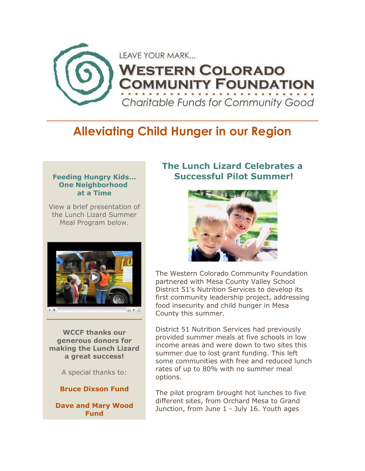

# **Alleviating Child Hunger in our Region**

#### **Feeding Hungry Kids... One Neighborhood at a Time**

View a brief presentation of the Lunch Lizard Summer Meal Program below.



**WCCF thanks our generous donors for making the Lunch Lizard a great success!**

A special thanks to:

**Bruce Dixson Fund**

**Dave and Mary Wood Fund**

### **The Lunch Lizard Celebrates a Successful Pilot Summer!**



The Western Colorado Community Foundation partnered with Mesa County Valley School District 51's Nutrition Services to develop its first community leadership project, addressing food insecurity and child hunger in Mesa County this summer.

District 51 Nutrition Services had previously provided summer meals at five schools in low income areas and were down to two sites this summer due to lost grant funding. This left some communities with free and reduced lunch rates of up to 80% with no summer meal options.

The pilot program brought hot lunches to five different sites, from Orchard Mesa to Grand Junction, from June 1 - July 16. Youth ages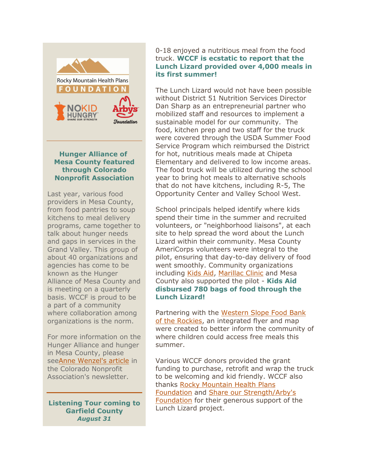

#### **Hunger Alliance of Mesa County featured through Colorado Nonprofit Association**

Last year, various food providers in Mesa County, from food pantries to soup kitchens to meal delivery programs, came together to talk about hunger needs and gaps in services in the Grand Valley. This group of about 40 organizations and agencies has come to be known as the Hunger Alliance of Mesa County and is meeting on a quarterly basis. WCCF is proud to be a part of a community where collaboration among organizations is the norm.

For more information on the Hunger Alliance and hunger in Mesa County, please se[eAnne Wenzel's article](http://files.ctctcdn.com/cf78f59c001/37db1d43-fa41-4788-9314-474adbed88ce.pdf) in the Colorado Nonprofit Association's newsletter.

**Listening Tour coming to Garfield County** *August 31*

#### 0-18 enjoyed a nutritious meal from the food truck. **WCCF is ecstatic to report that the Lunch Lizard provided over 4,000 meals in its first summer!**

The Lunch Lizard would not have been possible without District 51 Nutrition Services Director Dan Sharp as an entrepreneurial partner who mobilized staff and resources to implement a sustainable model for our community. The food, kitchen prep and two staff for the truck were covered through the USDA Summer Food Service Program which reimbursed the District for hot, nutritious meals made at Chipeta Elementary and delivered to low income areas. The food truck will be utilized during the school year to bring hot meals to alternative schools that do not have kitchens, including R-5, The Opportunity Center and Valley School West.

School principals helped identify where kids spend their time in the summer and recruited volunteers, or "neighborhood liaisons", at each site to help spread the word about the Lunch Lizard within their community. Mesa County AmeriCorps volunteers were integral to the pilot, ensuring that day-to-day delivery of food went smoothly. Community organizations including [Kids Aid,](http://kidsaidcolorado.org/) [Marillac Clinic](https://marillacclinic.org/en) and Mesa County also supported the pilot - **Kids Aid disbursed 780 bags of food through the Lunch Lizard!**

Partnering with the [Western Slope Food Bank](http://www.foodbankrockies.org/western-slope/western-slope-home/)  [of the Rockies,](http://www.foodbankrockies.org/western-slope/western-slope-home/) an integrated flyer and map were created to better inform the community of where children could access free meals this summer.

Various WCCF donors provided the grant funding to purchase, retrofit and wrap the truck to be welcoming and kid friendly. WCCF also thanks [Rocky Mountain Health Plans](http://www.rmhp.org/about-rmhp/community-involvement/rmhp-foundation)  [Foundation](http://www.rmhp.org/about-rmhp/community-involvement/rmhp-foundation) and [Share our Strength/Arby's](http://www.nokidhungry.org/core-partner/22)  [Foundation](http://www.nokidhungry.org/core-partner/22) for their generous support of the Lunch Lizard project.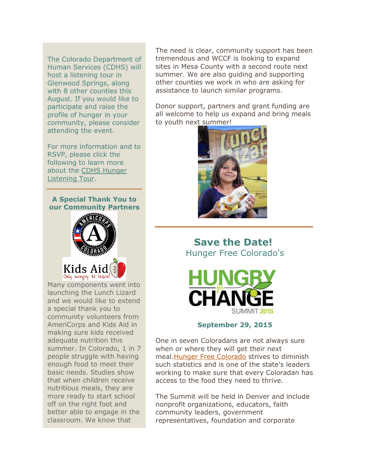The Colorado Department of Human Services (CDHS) will host a listening tour in Glenwood Springs, along with 8 other counties this August. If you would like to participate and raise the profile of hunger in your community, please consider attending the event.

For more information and to RSVP, please click the following to learn more about the [CDHS Hunger](http://files.ctctcdn.com/cf78f59c001/df421ef5-0c55-4533-8052-8953745bdda9.pdf)  [Listening Tour.](http://files.ctctcdn.com/cf78f59c001/df421ef5-0c55-4533-8052-8953745bdda9.pdf)

#### **A Special Thank You to our Community Partners**



Many components went into launching the Lunch Lizard and we would like to extend a special thank you to community volunteers from AmeriCorps and Kids Aid in making sure kids received adequate nutrition this summer. In Colorado, 1 in 7 people struggle with having enough food to meet their basic needs. Studies show that when children receive nutritious meals, they are more ready to start school off on the right foot and better able to engage in the classroom. We know that

The need is clear, community support has been tremendous and WCCF is looking to expand sites in Mesa County with a second route next summer. We are also guiding and supporting other counties we work in who are asking for assistance to launch similar programs.

Donor support, partners and grant funding are all welcome to help us expand and bring meals to youth next summer!



## **Save the Date!** Hunger Free Colorado's



### **September 29, 2015**

One in seven Coloradans are not always sure when or where they will get their next meal[.Hunger Free Colorado](http://www.hungerfreecolorado.org/) strives to diminish such statistics and is one of the state's leaders working to make sure that every Coloradan has access to the food they need to thrive.

The Summit will be held in Denver and include nonprofit organizations, educators, faith community leaders, government representatives, foundation and corporate